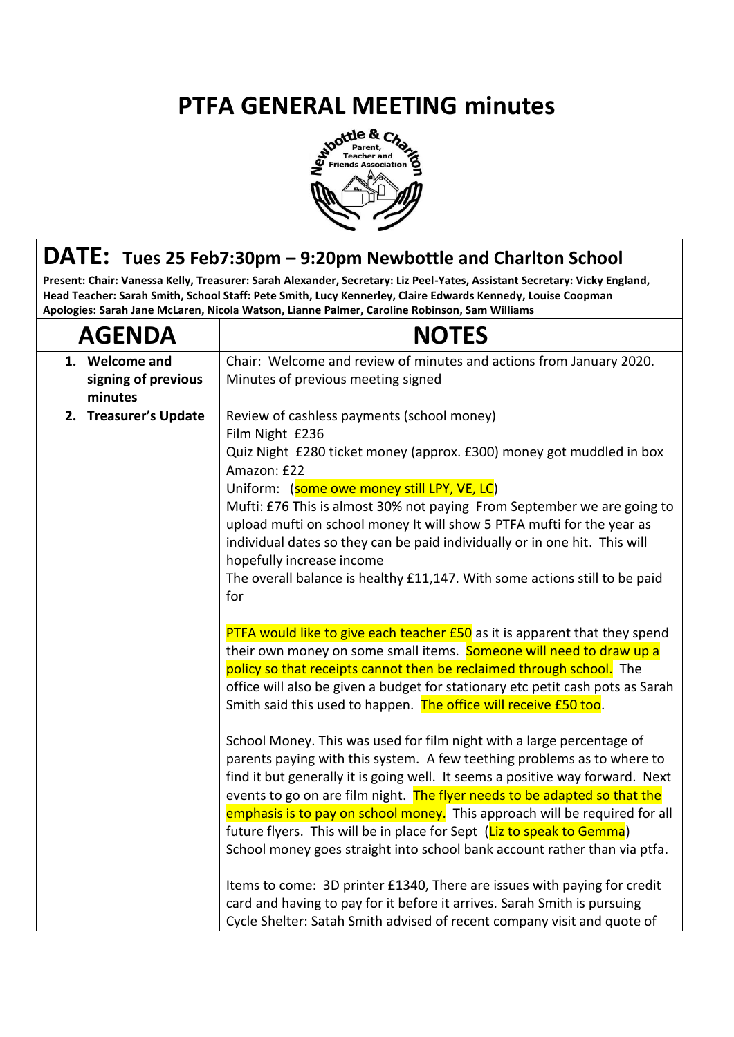## **PTFA GENERAL MEETING minutes**<br>  $\frac{1}{8} \int_{\frac{1}{\text{Factor and } A}^{\text{order}}}^{\text{other a}} G_{A}^{A}$



## **DATE: Tues 25 Feb7:30pm – 9:20pm Newbottle and Charlton School**

**Present: Chair: Vanessa Kelly, Treasurer: Sarah Alexander, Secretary: Liz Peel-Yates, Assistant Secretary: Vicky England, Head Teacher: Sarah Smith, School Staff: Pete Smith, Lucy Kennerley, Claire Edwards Kennedy, Louise Coopman Apologies: Sarah Jane McLaren, Nicola Watson, Lianne Palmer, Caroline Robinson, Sam Williams**

| <b>AGENDA</b>                                    | <b>NOTES</b>                                                                                                                                                                                                                                                                                                                                                                                                                                                                                                                                                                                                                                                                                                                                                                                                                                                                                                                                                                                                                                                                                                                                                                                                                                                                                                                                                                                                                                                                                                                                                                                                                                                                                                                  |
|--------------------------------------------------|-------------------------------------------------------------------------------------------------------------------------------------------------------------------------------------------------------------------------------------------------------------------------------------------------------------------------------------------------------------------------------------------------------------------------------------------------------------------------------------------------------------------------------------------------------------------------------------------------------------------------------------------------------------------------------------------------------------------------------------------------------------------------------------------------------------------------------------------------------------------------------------------------------------------------------------------------------------------------------------------------------------------------------------------------------------------------------------------------------------------------------------------------------------------------------------------------------------------------------------------------------------------------------------------------------------------------------------------------------------------------------------------------------------------------------------------------------------------------------------------------------------------------------------------------------------------------------------------------------------------------------------------------------------------------------------------------------------------------------|
| 1. Welcome and<br>signing of previous<br>minutes | Chair: Welcome and review of minutes and actions from January 2020.<br>Minutes of previous meeting signed                                                                                                                                                                                                                                                                                                                                                                                                                                                                                                                                                                                                                                                                                                                                                                                                                                                                                                                                                                                                                                                                                                                                                                                                                                                                                                                                                                                                                                                                                                                                                                                                                     |
| 2. Treasurer's Update<br>for                     | Review of cashless payments (school money)<br>Film Night £236<br>Quiz Night £280 ticket money (approx. £300) money got muddled in box<br>Amazon: £22<br>Uniform: (some owe money still LPY, VE, LC)<br>Mufti: £76 This is almost 30% not paying From September we are going to<br>upload mufti on school money It will show 5 PTFA mufti for the year as<br>individual dates so they can be paid individually or in one hit. This will<br>hopefully increase income<br>The overall balance is healthy £11,147. With some actions still to be paid<br>PTFA would like to give each teacher £50 as it is apparent that they spend<br>their own money on some small items. Someone will need to draw up a<br>policy so that receipts cannot then be reclaimed through school. The<br>office will also be given a budget for stationary etc petit cash pots as Sarah<br>Smith said this used to happen. The office will receive £50 too.<br>School Money. This was used for film night with a large percentage of<br>parents paying with this system. A few teething problems as to where to<br>find it but generally it is going well. It seems a positive way forward. Next<br>events to go on are film night. The flyer needs to be adapted so that the<br>emphasis is to pay on school money. This approach will be required for all<br>future flyers. This will be in place for Sept (Liz to speak to Gemma)<br>School money goes straight into school bank account rather than via ptfa.<br>Items to come: 3D printer £1340, There are issues with paying for credit<br>card and having to pay for it before it arrives. Sarah Smith is pursuing<br>Cycle Shelter: Satah Smith advised of recent company visit and quote of |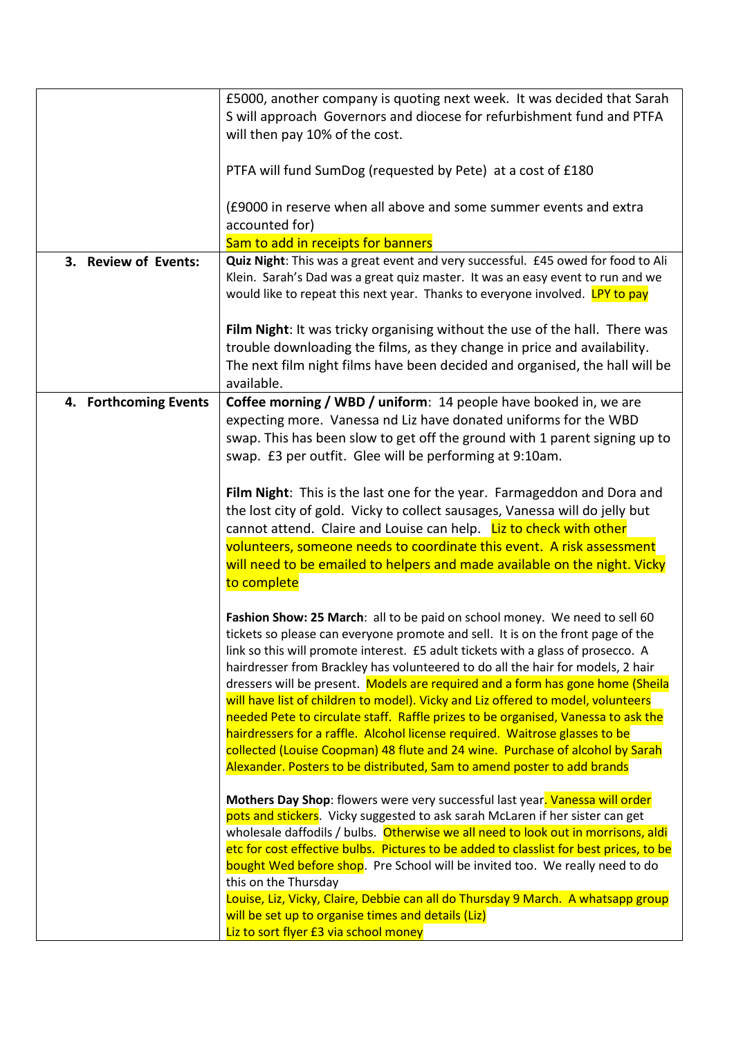|                       | £5000, another company is quoting next week. It was decided that Sarah                                                                                             |
|-----------------------|--------------------------------------------------------------------------------------------------------------------------------------------------------------------|
|                       | S will approach Governors and diocese for refurbishment fund and PTFA                                                                                              |
|                       | will then pay 10% of the cost.                                                                                                                                     |
|                       |                                                                                                                                                                    |
|                       | PTFA will fund SumDog (requested by Pete) at a cost of £180                                                                                                        |
|                       | (£9000 in reserve when all above and some summer events and extra                                                                                                  |
|                       | accounted for)                                                                                                                                                     |
|                       |                                                                                                                                                                    |
|                       | Sam to add in receipts for banners<br>Quiz Night: This was a great event and very successful. £45 owed for food to Ali                                             |
| 3. Review of Events:  | Klein. Sarah's Dad was a great quiz master. It was an easy event to run and we                                                                                     |
|                       | would like to repeat this next year. Thanks to everyone involved. LPY to pay                                                                                       |
|                       |                                                                                                                                                                    |
|                       | Film Night: It was tricky organising without the use of the hall. There was                                                                                        |
|                       | trouble downloading the films, as they change in price and availability.                                                                                           |
|                       | The next film night films have been decided and organised, the hall will be                                                                                        |
|                       | available.                                                                                                                                                         |
|                       |                                                                                                                                                                    |
| 4. Forthcoming Events | Coffee morning / WBD / uniform: 14 people have booked in, we are                                                                                                   |
|                       | expecting more. Vanessa nd Liz have donated uniforms for the WBD                                                                                                   |
|                       | swap. This has been slow to get off the ground with 1 parent signing up to                                                                                         |
|                       | swap. £3 per outfit. Glee will be performing at 9:10am.                                                                                                            |
|                       |                                                                                                                                                                    |
|                       | Film Night: This is the last one for the year. Farmageddon and Dora and                                                                                            |
|                       | the lost city of gold. Vicky to collect sausages, Vanessa will do jelly but                                                                                        |
|                       | cannot attend. Claire and Louise can help. Liz to check with other                                                                                                 |
|                       | volunteers, someone needs to coordinate this event. A risk assessment                                                                                              |
|                       | will need to be emailed to helpers and made available on the night. Vicky                                                                                          |
|                       | to complete                                                                                                                                                        |
|                       | Fashion Show: 25 March: all to be paid on school money. We need to sell 60                                                                                         |
|                       | tickets so please can everyone promote and sell. It is on the front page of the                                                                                    |
|                       | link so this will promote interest. £5 adult tickets with a glass of prosecco. A                                                                                   |
|                       | hairdresser from Brackley has volunteered to do all the hair for models, 2 hair                                                                                    |
|                       | dressers will be present. Models are required and a form has gone home (Sheila                                                                                     |
|                       | will have list of children to model). Vicky and Liz offered to model, volunteers                                                                                   |
|                       | needed Pete to circulate staff. Raffle prizes to be organised, Vanessa to ask the                                                                                  |
|                       | hairdressers for a raffle. Alcohol license required. Waitrose glasses to be                                                                                        |
|                       | collected (Louise Coopman) 48 flute and 24 wine. Purchase of alcohol by Sarah                                                                                      |
|                       | Alexander. Posters to be distributed, Sam to amend poster to add brands                                                                                            |
|                       |                                                                                                                                                                    |
|                       | Mothers Day Shop: flowers were very successful last year. Vanessa will order                                                                                       |
|                       | pots and stickers. Vicky suggested to ask sarah McLaren if her sister can get<br>wholesale daffodils / bulbs. Otherwise we all need to look out in morrisons, aldi |
|                       | etc for cost effective bulbs. Pictures to be added to classlist for best prices, to be                                                                             |
|                       | bought Wed before shop. Pre School will be invited too. We really need to do                                                                                       |
|                       | this on the Thursday                                                                                                                                               |
|                       | Louise, Liz, Vicky, Claire, Debbie can all do Thursday 9 March. A whatsapp group                                                                                   |
|                       | will be set up to organise times and details (Liz)                                                                                                                 |
|                       | Liz to sort flyer £3 via school money                                                                                                                              |